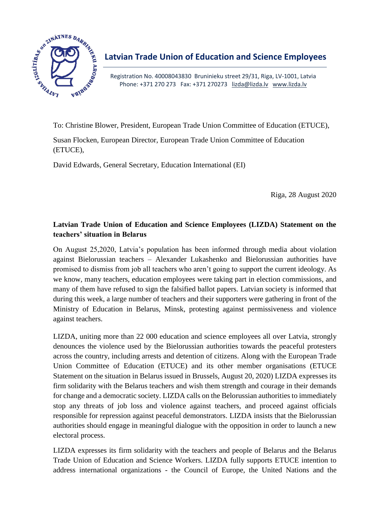

Registration No. 40008043830 Bruninieku street 29/31, Riga, LV-1001, Latvia Phone: +371 270 273 Fax: +371 270273 [lizda@lizda.lv](mailto:lizda@lizda.lv) [www.lizda.lv](http://www.lizda.lv/)

To: Christine Blower, President, European Trade Union Committee of Education (ETUCE),

Susan Flocken, European Director, European Trade Union Committee of Education (ETUCE),

David Edwards, General Secretary, Education International (EI)

Riga, 28 August 2020

## **Latvian Trade Union of Education and Science Employees (LIZDA) Statement on the teachers' situation in Belarus**

On August 25,2020, Latvia's population has been informed through media about violation against Bielorussian teachers – Alexander Lukashenko and Bielorussian authorities have promised to dismiss from job all teachers who aren't going to support the current ideology. As we know, many teachers, education employees were taking part in election commissions, and many of them have refused to sign the falsified ballot papers. Latvian society is informed that during this week, a large number of teachers and their supporters were gathering in front of the Ministry of Education in Belarus, Minsk, protesting against permissiveness and violence against teachers.

LIZDA, uniting more than 22 000 education and science employees all over Latvia, strongly denounces the violence used by the Bielorussian authorities towards the peaceful protesters across the country, including arrests and detention of citizens. Along with the European Trade Union Committee of Education (ETUCE) and its other member organisations (ETUCE Statement on the situation in Belarus issued in Brussels, August 20, 2020) LIZDA expresses its firm solidarity with the Belarus teachers and wish them strength and courage in their demands for change and a democratic society. LIZDA calls on the Belorussian authorities to immediately stop any threats of job loss and violence against teachers, and proceed against officials responsible for repression against peaceful demonstrators. LIZDA insists that the Bielorussian authorities should engage in meaningful dialogue with the opposition in order to launch a new electoral process.

LIZDA expresses its firm solidarity with the teachers and people of Belarus and the Belarus Trade Union of Education and Science Workers. LIZDA fully supports ETUCE intention to address international organizations - the Council of Europe, the United Nations and the